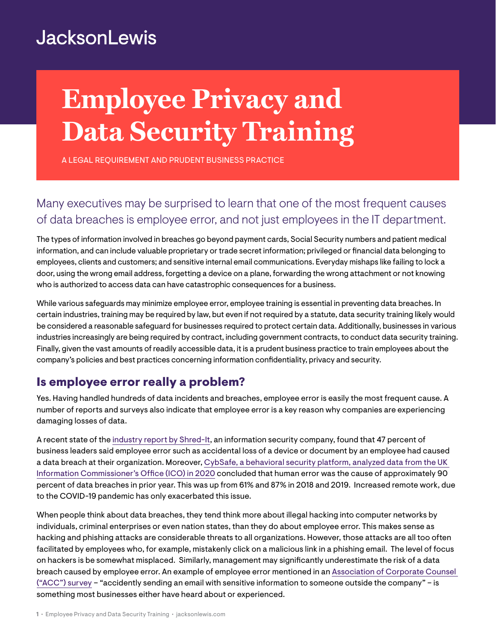## **JacksonLewis**

# **Employee Privacy and Data Security Training**

A LEGAL REQUIREMENT AND PRUDENT BUSINESS PRACTICE

## Many executives may be surprised to learn that one of the most frequent causes of data breaches is employee error, and not just employees in the IT department.

The types of information involved in breaches go beyond payment cards, Social Security numbers and patient medical information, and can include valuable proprietary or trade secret information; privileged or financial data belonging to employees, clients and customers; and sensitive internal email communications. Everyday mishaps like failing to lock a door, using the wrong email address, forgetting a device on a plane, forwarding the wrong attachment or not knowing who is authorized to access data can have catastrophic consequences for a business.

While various safeguards may minimize employee error, employee training is essential in preventing data breaches. In certain industries, training may be required by law, but even if not required by a statute, data security training likely would be considered a reasonable safeguard for businesses required to protect certain data. Additionally, businesses in various industries increasingly are being required by contract, including government contracts, to conduct data security training. Finally, given the vast amounts of readily accessible data, it is a prudent business practice to train employees about the company's policies and best practices concerning information confidentiality, privacy and security.

### Is employee error really a problem?

Yes. Having handled hundreds of data incidents and breaches, employee error is easily the most frequent cause. A number of reports and surveys also indicate that employee error is a key reason why companies are experiencing damaging losses of data.

A recent state of the [industry report by Shred-It](https://www.shredit.com/en-us/data-protection/home?utm_source=Press-Release&utm_medium=Media&utm_campaign=DPR2019), an information security company, found that 47 percent of business leaders said employee error such as accidental loss of a device or document by an employee had caused a data breach at their organization. Moreover, [CybSafe, a behavioral security platform, analyzed data from the UK](https://www.cybsafe.com/press-releases/human-error-to-blame-for-9-in-10-uk-cyber-data-breaches-in-2019/)  [Information Commissioner's Office \(ICO\) in 2020](https://www.cybsafe.com/press-releases/human-error-to-blame-for-9-in-10-uk-cyber-data-breaches-in-2019/) concluded that human error was the cause of approximately 90 percent of data breaches in prior year. This was up from 61% and 87% in 2018 and 2019. Increased remote work, due to the COVID-19 pandemic has only exacerbated this issue.

When people think about data breaches, they tend think more about illegal hacking into computer networks by individuals, criminal enterprises or even nation states, than they do about employee error. This makes sense as hacking and phishing attacks are considerable threats to all organizations. However, those attacks are all too often facilitated by employees who, for example, mistakenly click on a malicious link in a phishing email. The level of focus on hackers is be somewhat misplaced. Similarly, management may significantly underestimate the risk of a data breach caused by employee error. An example of employee error mentioned in an [Association of Corporate Counsel](https://www.wsj.com/articles/BL-LB-52712)  [\("ACC"\) survey](https://www.wsj.com/articles/BL-LB-52712) – "accidently sending an email with sensitive information to someone outside the company" – is something most businesses either have heard about or experienced.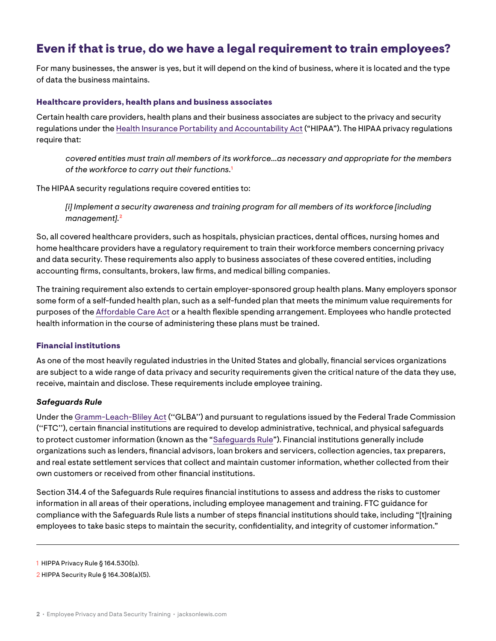## Even if that is true, do we have a legal requirement to train employees?

For many businesses, the answer is yes, but it will depend on the kind of business, where it is located and the type of data the business maintains.

#### Healthcare providers, health plans and business associates

Certain health care providers, health plans and their business associates are subject to the privacy and security regulations under the [Health Insurance Portability and Accountability Act](https://www.hhs.gov/hipaa/for-professionals/privacy/laws-regulations/combined-regulation-text/index.html) ("HIPAA"). The HIPAA privacy regulations require that:

 *covered entities must train all members of its workforce…as necessary and appropriate for the members of the workforce to carry out their functions.***<sup>1</sup>**

The HIPAA security regulations require covered entities to:

 *[i] Implement a security awareness and training program for all members of its workforce [including management].***<sup>2</sup>**

So, all covered healthcare providers, such as hospitals, physician practices, dental offices, nursing homes and home healthcare providers have a regulatory requirement to train their workforce members concerning privacy and data security. These requirements also apply to business associates of these covered entities, including accounting firms, consultants, brokers, law firms, and medical billing companies.

The training requirement also extends to certain employer-sponsored group health plans. Many employers sponsor some form of a self-funded health plan, such as a self-funded plan that meets the minimum value requirements for purposes of the [Affordable Care Act](https://www.healthcare.gov/where-can-i-read-the-affordable-care-act/) or a health flexible spending arrangement. Employees who handle protected health information in the course of administering these plans must be trained.

#### Financial institutions

As one of the most heavily regulated industries in the United States and globally, financial services organizations are subject to a wide range of data privacy and security requirements given the critical nature of the data they use, receive, maintain and disclose. These requirements include employee training.

#### *Safeguards Rule*

Under the [Gramm-Leach-Bliley Act](https://www.govinfo.gov/content/pkg/PLAW-106publ102/pdf/PLAW-106publ102.pdf) (''GLBA'') and pursuant to regulations issued by the Federal Trade Commission (''FTC''), certain financial institutions are required to develop administrative, technical, and physical safeguards to protect customer information (known as the "[Safeguards Rule](https://www.ftc.gov/enforcement/rules/rulemaking-regulatory-reform-proceedings/safeguards-rule)"). Financial institutions generally include organizations such as lenders, financial advisors, loan brokers and servicers, collection agencies, tax preparers, and real estate settlement services that collect and maintain customer information, whether collected from their own customers or received from other financial institutions.

Section 314.4 of the Safeguards Rule requires financial institutions to assess and address the risks to customer information in all areas of their operations, including employee management and training. FTC guidance for compliance with the Safeguards Rule lists a number of steps financial institutions should take, including "[t]raining employees to take basic steps to maintain the security, confidentiality, and integrity of customer information."

<sup>1</sup> HIPPA Privacy Rule § 164.530(b).

<sup>2</sup> HIPPA Security Rule § 164.308(a)(5).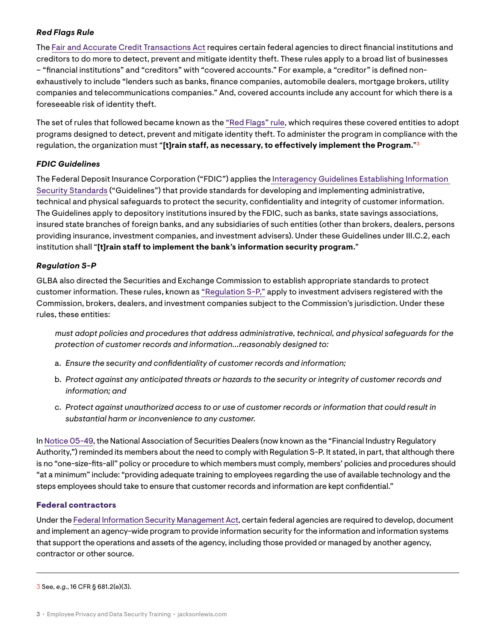#### *Red Flags Rule*

The [Fair and Accurate Credit Transactions Act](https://uscode.house.gov/view.xhtml?req=granuleid%3AUSC-prelim-title15-chapter41-subchapter3&edition=prelim) requires certain federal agencies to direct financial institutions and creditors to do more to detect, prevent and mitigate identity theft. These rules apply to a broad list of businesses – "financial institutions" and "creditors" with "covered accounts." For example, a "creditor" is defined nonexhaustively to include "lenders such as banks, finance companies, automobile dealers, mortgage brokers, utility companies and telecommunications companies." And, covered accounts include any account for which there is a foreseeable risk of identity theft.

The set of rules that followed became known as the ["Red Flags" rule](https://www.ftc.gov/tips-advice/business-center/privacy-and-security/red-flags-rule), which requires these covered entities to adopt programs designed to detect, prevent and mitigate identity theft. To administer the program in compliance with the regulation, the organization must "**[t]rain staff, as necessary, to effectively implement the Program.**"**<sup>3</sup>**

#### *FDIC Guidelines*

The Federal Deposit Insurance Corporation ("FDIC") applies th[e Interagency Guidelines Establishing Information](https://www.federalreserve.gov/supervisionreg/interagencyguidelines.htm)  [Security Standards](https://www.federalreserve.gov/supervisionreg/interagencyguidelines.htm) ("Guidelines") that provide standards for developing and implementing administrative, technical and physical safeguards to protect the security, confidentiality and integrity of customer information. The Guidelines apply to depository institutions insured by the FDIC, such as banks, state savings associations, insured state branches of foreign banks, and any subsidiaries of such entities (other than brokers, dealers, persons providing insurance, investment companies, and investment advisers). Under these Guidelines under III.C.2, each institution shall "**[t]rain staff to implement the bank's information security program.**"

#### *Regulation S-P*

GLBA also directed the Securities and Exchange Commission to establish appropriate standards to protect customer information. These rules, known as ["Regulation S-P,"](https://www.sec.gov/spotlight/regulation-s-p.htm) apply to investment advisers registered with the Commission, brokers, dealers, and investment companies subject to the Commission's jurisdiction. Under these rules, these entities:

*must adopt policies and procedures that address administrative, technical, and physical safeguards for the protection of customer records and information...reasonably designed to:*

- a. *Ensure the security and confidentiality of customer records and information;*
- b. *Protect against any anticipated threats or hazards to the security or integrity of customer records and information; and*
- c. *Protect against unauthorized access to or use of customer records or information that could result in substantial harm or inconvenience to any customer.*

In [Notice 05-49](https://www.finra.org/rules-guidance/notices/05-49), the National Association of Securities Dealers (now known as the "Financial Industry Regulatory Authority,") reminded its members about the need to comply with Regulation S-P. It stated, in part, that although there is no "one-size-fits-all" policy or procedure to which members must comply, members' policies and procedures should "at a minimum" include: "providing adequate training to employees regarding the use of available technology and the steps employees should take to ensure that customer records and information are kept confidential."

#### Federal contractors

Under the [Federal Information Security Management Act](https://www.cisa.gov/federal-information-security-modernization-act), certain federal agencies are required to develop, document and implement an agency-wide program to provide information security for the information and information systems that support the operations and assets of the agency, including those provided or managed by another agency, contractor or other source.

3 See, *e.g.*, 16 CFR § 681.2(e)(3).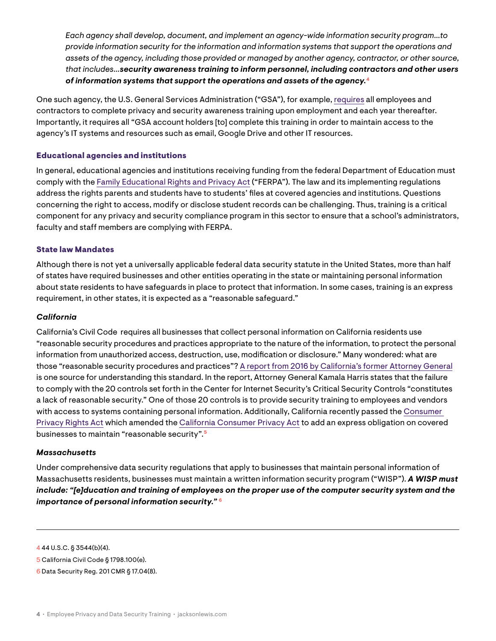*Each agency shall develop, document, and implement an agency-wide information security program…to provide information security for the information and information systems that support the operations and assets of the agency, including those provided or managed by another agency, contractor, or other source, that includes…security awareness training to inform personnel, including contractors and other users of information systems that support the operations and assets of the agency.***<sup>4</sup>**

One such agency, the U.S. General Services Administration ("GSA"), for example, [requires](https://www.gsa.gov/reference/gsa-privacy-program/training-requirements) all employees and contractors to complete privacy and security awareness training upon employment and each year thereafter. Importantly, it requires all "GSA account holders [to] complete this training in order to maintain access to the agency's IT systems and resources such as email, Google Drive and other IT resources.

#### Educational agencies and institutions

In general, educational agencies and institutions receiving funding from the federal Department of Education must comply with the [Family Educational Rights and Privacy Act](https://www.cdc.gov/phlp/publications/topic/ferpa.html#:~:text=The%20Family%20Educational%20Rights%20and,privacy%20of%20student%20education%20records.&text=An%20eligible%20student%20is%20one,beyond%20the%20high%20school%20level.) ("FERPA"). The law and its implementing regulations address the rights parents and students have to students' files at covered agencies and institutions. Questions concerning the right to access, modify or disclose student records can be challenging. Thus, training is a critical component for any privacy and security compliance program in this sector to ensure that a school's administrators, faculty and staff members are complying with FERPA.

#### State law Mandates

Although there is not yet a universally applicable federal data security statute in the United States, more than half of states have required businesses and other entities operating in the state or maintaining personal information about state residents to have safeguards in place to protect that information. In some cases, training is an express requirement, in other states, it is expected as a "reasonable safeguard."

#### *California*

California's Civil Code requires all businesses that collect personal information on California residents use "reasonable security procedures and practices appropriate to the nature of the information, to protect the personal information from unauthorized access, destruction, use, modification or disclosure." Many wondered: what are those "reasonable security procedures and practices"? [A report from 2016 by California's former Attorney General](https://oag.ca.gov/sites/all/files/agweb/pdfs/dbr/2016-data-breach-report.pdf) is one source for understanding this standard. In the report, Attorney General Kamala Harris states that the failure to comply with the 20 controls set forth in the Center for Internet Security's Critical Security Controls "constitutes a lack of reasonable security." One of those 20 controls is to provide security training to employees and vendors with access to systems containing personal information. Additionally, California recently passed the [Consumer](https://vig.cdn.sos.ca.gov/2020/general/pdf/topl-prop24.pdf)  [Privacy Rights Act](https://vig.cdn.sos.ca.gov/2020/general/pdf/topl-prop24.pdf) which amended the [California Consumer Privacy Act](https://oag.ca.gov/privacy/ccpa) to add an express obligation on covered businesses to maintain "reasonable security".**<sup>5</sup>**

#### *Massachusetts*

Under comprehensive data security regulations that apply to businesses that maintain personal information of Massachusetts residents, businesses must maintain a written information security program ("WISP"). *A WISP must include: "[e]ducation and training of employees on the proper use of the computer security system and the importance of personal information security."* **<sup>6</sup>**

4 44 U.S.C. § 3544(b)(4).

<sup>5</sup> California Civil Code § 1798.100(e).

<sup>6</sup> Data Security Reg. 201 CMR § 17.04(8).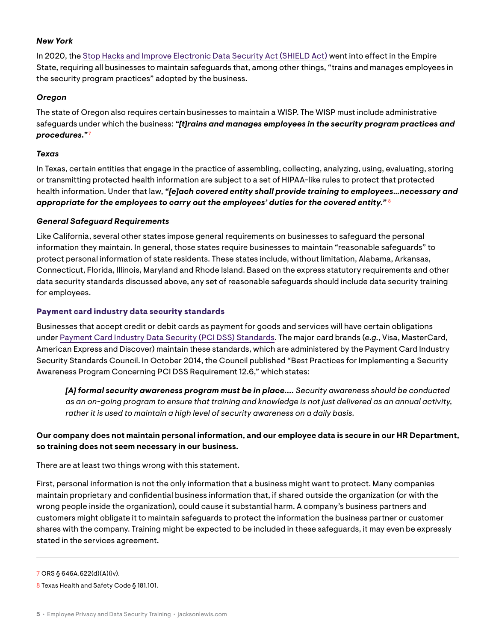#### *New York*

In 2020, the [Stop Hacks and Improve Electronic Data Security Act \(SHIELD Act\)](https://legislation.nysenate.gov/pdf/bills/2019/S5575B) went into effect in the Empire State, requiring all businesses to maintain safeguards that, among other things, "trains and manages employees in the security program practices" adopted by the business.

#### *Oregon*

The state of Oregon also requires certain businesses to maintain a WISP. The WISP must include administrative safeguards under which the business: *"[t]rains and manages employees in the security program practices and procedures."***<sup>7</sup>**

#### *Texas*

In Texas, certain entities that engage in the practice of assembling, collecting, analyzing, using, evaluating, storing or transmitting protected health information are subject to a set of HIPAA-like rules to protect that protected health information. Under that law, *"[e]ach covered entity shall provide training to employees…necessary and appropriate for the employees to carry out the employees' duties for the covered entity."* **<sup>8</sup>**

#### *General Safeguard Requirements*

Like California, several other states impose general requirements on businesses to safeguard the personal information they maintain. In general, those states require businesses to maintain "reasonable safeguards" to protect personal information of state residents. These states include, without limitation, Alabama, Arkansas, Connecticut, Florida, Illinois, Maryland and Rhode Island. Based on the express statutory requirements and other data security standards discussed above, any set of reasonable safeguards should include data security training for employees.

#### Payment card industry data security standards

Businesses that accept credit or debit cards as payment for goods and services will have certain obligations under [Payment Card Industry Data Security \(PCI DSS\) Standards](https://www.pcisecuritystandards.org/document_library). The major card brands (*e.g.*, Visa, MasterCard, American Express and Discover) maintain these standards, which are administered by the Payment Card Industry Security Standards Council. In October 2014, the Council published "Best Practices for Implementing a Security Awareness Program Concerning PCI DSS Requirement 12.6," which states:

 *[A] formal security awareness program must be in place.... Security awareness should be conducted as an on-going program to ensure that training and knowledge is not just delivered as an annual activity, rather it is used to maintain a high level of security awareness on a daily basis.*

#### **Our company does not maintain personal information, and our employee data is secure in our HR Department, so training does not seem necessary in our business.**

There are at least two things wrong with this statement.

First, personal information is not the only information that a business might want to protect. Many companies maintain proprietary and confidential business information that, if shared outside the organization (or with the wrong people inside the organization), could cause it substantial harm. A company's business partners and customers might obligate it to maintain safeguards to protect the information the business partner or customer shares with the company. Training might be expected to be included in these safeguards, it may even be expressly stated in the services agreement.

<sup>7</sup> ORS § 646A.622(d)(A)(iv).

<sup>8</sup> Texas Health and Safety Code § 181.101.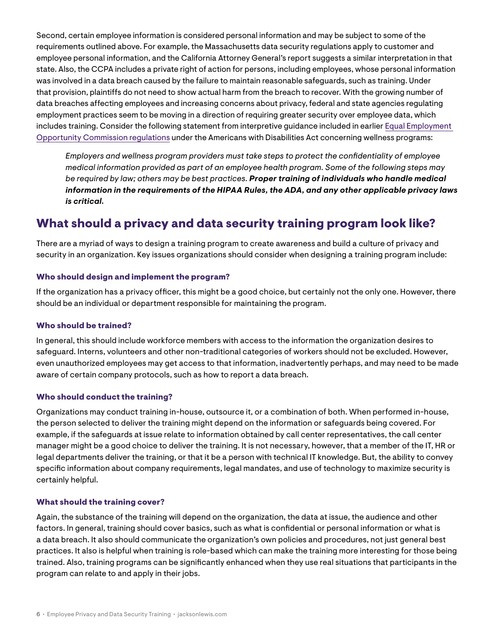Second, certain employee information is considered personal information and may be subject to some of the requirements outlined above. For example, the Massachusetts data security regulations apply to customer and employee personal information, and the California Attorney General's report suggests a similar interpretation in that state. Also, the CCPA includes a private right of action for persons, including employees, whose personal information was involved in a data breach caused by the failure to maintain reasonable safeguards, such as training. Under that provision, plaintiffs do not need to show actual harm from the breach to recover. With the growing number of data breaches affecting employees and increasing concerns about privacy, federal and state agencies regulating employment practices seem to be moving in a direction of requiring greater security over employee data, which includes training. Consider the following statement from interpretive guidance included in earlier [Equal Employment](https://www.federalregister.gov/documents/2016/05/17/2016-11558/regulations-under-the-americans-with-disabilities-act)  [Opportunity Commission regulations](https://www.federalregister.gov/documents/2016/05/17/2016-11558/regulations-under-the-americans-with-disabilities-act) under the Americans with Disabilities Act concerning wellness programs:

*Employers and wellness program providers must take steps to protect the confidentiality of employee medical information provided as part of an employee health program. Some of the following steps may be required by law; others may be best practices. Proper training of individuals who handle medical information in the requirements of the HIPAA Rules, the ADA, and any other applicable privacy laws is critical.* 

## What should a privacy and data security training program look like?

There are a myriad of ways to design a training program to create awareness and build a culture of privacy and security in an organization. Key issues organizations should consider when designing a training program include:

#### Who should design and implement the program?

If the organization has a privacy officer, this might be a good choice, but certainly not the only one. However, there should be an individual or department responsible for maintaining the program.

#### Who should be trained?

In general, this should include workforce members with access to the information the organization desires to safeguard. Interns, volunteers and other non-traditional categories of workers should not be excluded. However, even unauthorized employees may get access to that information, inadvertently perhaps, and may need to be made aware of certain company protocols, such as how to report a data breach.

#### Who should conduct the training?

Organizations may conduct training in-house, outsource it, or a combination of both. When performed in-house, the person selected to deliver the training might depend on the information or safeguards being covered. For example, if the safeguards at issue relate to information obtained by call center representatives, the call center manager might be a good choice to deliver the training. It is not necessary, however, that a member of the IT, HR or legal departments deliver the training, or that it be a person with technical IT knowledge. But, the ability to convey specific information about company requirements, legal mandates, and use of technology to maximize security is certainly helpful.

#### What should the training cover?

Again, the substance of the training will depend on the organization, the data at issue, the audience and other factors. In general, training should cover basics, such as what is confidential or personal information or what is a data breach. It also should communicate the organization's own policies and procedures, not just general best practices. It also is helpful when training is role-based which can make the training more interesting for those being trained. Also, training programs can be significantly enhanced when they use real situations that participants in the program can relate to and apply in their jobs.